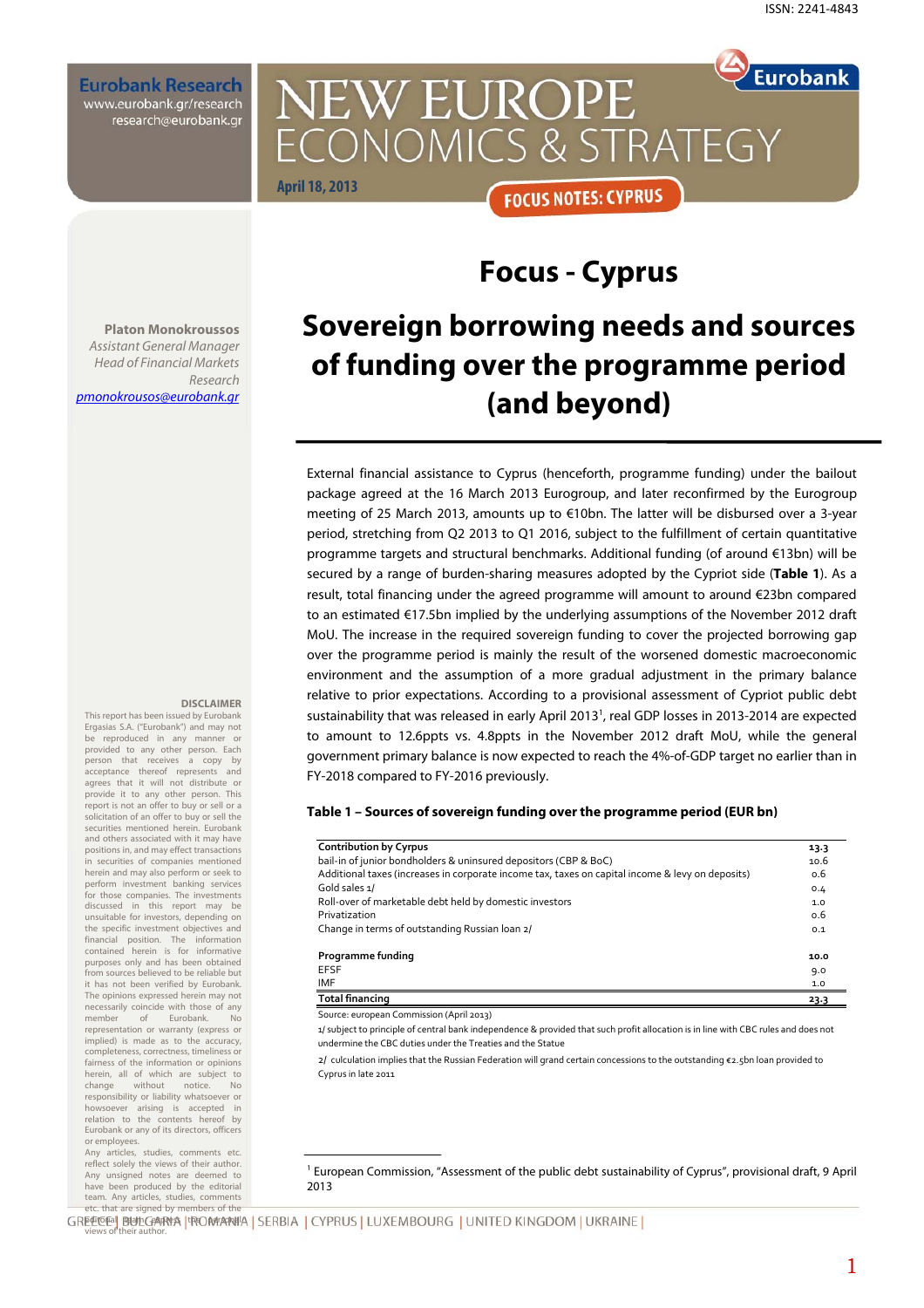**Eurobank Research** www.eurobank.gr/research research@eurobank.gr

### **Eurobank NEW EUROPE CONOMICS & STRATEGY April 18, 2013 FOCUS NOTES: CYPRUS**

# **Focus - Cyprus**

**Platon Monokroussos**  Assistant General Manager Head of Financial Markets Research pmonokrousos@eurobank.gr

# **Sovereign borrowing needs and sources of funding over the programme period (and beyond)**

External financial assistance to Cyprus (henceforth, programme funding) under the bailout package agreed at the 16 March 2013 Eurogroup, and later reconfirmed by the Eurogroup meeting of 25 March 2013, amounts up to €10bn. The latter will be disbursed over a 3-year period, stretching from Q2 2013 to Q1 2016, subject to the fulfillment of certain quantitative programme targets and structural benchmarks. Additional funding (of around €13bn) will be secured by a range of burden-sharing measures adopted by the Cypriot side (**Table 1**). As a result, total financing under the agreed programme will amount to around €23bn compared to an estimated €17.5bn implied by the underlying assumptions of the November 2012 draft MoU. The increase in the required sovereign funding to cover the projected borrowing gap over the programme period is mainly the result of the worsened domestic macroeconomic environment and the assumption of a more gradual adjustment in the primary balance relative to prior expectations. According to a provisional assessment of Cypriot public debt sustainability that was released in early April 2013<sup>1</sup>, real GDP losses in 2013-2014 are expected to amount to 12.6ppts vs. 4.8ppts in the November 2012 draft MoU, while the general government primary balance is now expected to reach the 4%-of-GDP target no earlier than in FY-2018 compared to FY-2016 previously.

#### **Table 1 – Sources of sovereign funding over the programme period (EUR bn)**

| <b>Contribution by Cyrpus</b>                                                                    | 13.3 |
|--------------------------------------------------------------------------------------------------|------|
| bail-in of junior bondholders & uninsured depositors (CBP & BoC)                                 | 10.6 |
| Additional taxes (increases in corporate income tax, taxes on capital income & levy on deposits) | 0.6  |
| Gold sales 1/                                                                                    | 0.4  |
| Roll-over of marketable debt held by domestic investors                                          | 1.0  |
| Privatization                                                                                    | 0.6  |
| Change in terms of outstanding Russian loan 2/                                                   | 0.1  |
| Programme funding                                                                                | 10.0 |
| <b>EFSF</b>                                                                                      | 9.0  |
| <b>IMF</b>                                                                                       | 1.0  |
| <b>Total financing</b>                                                                           | 23.3 |

Source: european Commission (April 2013)

1/ subject to principle of central bank independence & provided that such profit allocation is in line with CBC rules and does not undermine the CBC duties under the Treaties and the Statue

2/ culculation implies that the Russian Federation will grand certain concessions to the outstanding €2.5bn loan provided to Cyprus in late 2011

#### 1 European Commission, "Assessment of the public debt sustainability of Cyprus", provisional draft, 9 April 2013

GREEGE BULGARAA IROMAANIA SERBIA | CYPRUS | LUXEMBOURG | UNITED KINGDOM | UKRAINE | views of their author.

#### **DISCLAIMER**

This report has been issued by Eurobank Ergasias S.A. ("Eurobank") and may not be reproduced in any manner or provided to any other person. Each person that receives a copy by acceptance thereof represents and agrees that it will not distribute or provide it to any other person. This report is not an offer to buy or sell or a solicitation of an offer to buy or sell the securities mentioned herein. Eurobank and others associated with it may have positions in, and may effect transactions in securities of companies mentioned herein and may also perform or seek to perform investment banking services for those companies. The investments<br>discussed in this report may be this report may unsuitable for investors, depending on the specific investment objectives and financial position. The information contained herein is for informative purposes only and has been obtained from sources believed to be reliable but it has not been verified by Eurobank. The opinions expressed herein may not necessarily coincide with those of any<br>member of Eurobank. No of Eurobank. No representation or warranty (express or implied) is made as to the accuracy, completeness, correctness, timeliness or fairness of the information or opinions herein, all of which are subject to<br>change without notice. No change without notice. No responsibility or liability whatsoever or howsoever arising is accepted in relation to the contents hereof by Eurobank or any of its directors, officers or employees. Any articles, studies, comments etc.

reflect solely the views of their author. Any unsigned notes are deemed to have been produced by the editorial team. Any articles, studies, comments etc. that are signed by members of the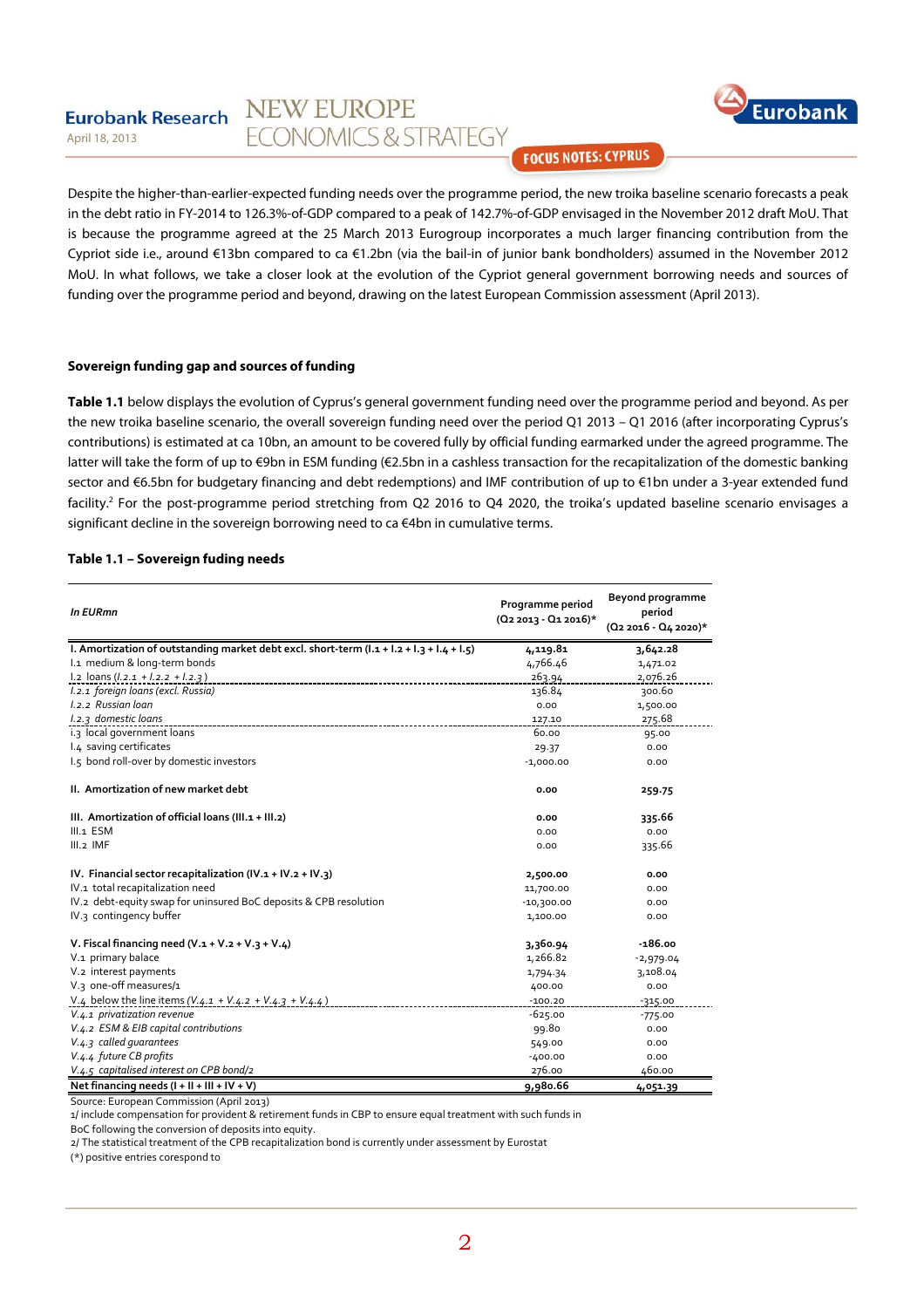#### **NEW EUROPE Eurobank Research ECONOMICS & STRATEGY** April 18, 2013



**FOCUS NOTES: CYPRUS** 

Despite the higher-than-earlier-expected funding needs over the programme period, the new troika baseline scenario forecasts a peak in the debt ratio in FY-2014 to 126.3%-of-GDP compared to a peak of 142.7%-of-GDP envisaged in the November 2012 draft MoU. That is because the programme agreed at the 25 March 2013 Eurogroup incorporates a much larger financing contribution from the Cypriot side i.e., around €13bn compared to ca €1.2bn (via the bail-in of junior bank bondholders) assumed in the November 2012 MoU. In what follows, we take a closer look at the evolution of the Cypriot general government borrowing needs and sources of funding over the programme period and beyond, drawing on the latest European Commission assessment (April 2013).

#### **Sovereign funding gap and sources of funding**

**Table 1.1** below displays the evolution of Cyprus's general government funding need over the programme period and beyond. As per the new troika baseline scenario, the overall sovereign funding need over the period Q1 2013 – Q1 2016 (after incorporating Cyprus's contributions) is estimated at ca 10bn, an amount to be covered fully by official funding earmarked under the agreed programme. The latter will take the form of up to €9bn in ESM funding (€2.5bn in a cashless transaction for the recapitalization of the domestic banking sector and €6.5bn for budgetary financing and debt redemptions) and IMF contribution of up to €1bn under a 3-year extended fund facility.<sup>2</sup> For the post-programme period stretching from Q2 2016 to Q4 2020, the troika's updated baseline scenario envisages a significant decline in the sovereign borrowing need to ca  $\epsilon$ 4bn in cumulative terms.

#### **Table 1.1 – Sovereign fuding needs**

| <b>In EURmn</b>                                                                           | Programme period<br>$(Q_2 2013 - Q_1 2016)^*$ | <b>Beyond programme</b><br>period<br>$(Q_2 2016 - Q_4 2020)^*$ |
|-------------------------------------------------------------------------------------------|-----------------------------------------------|----------------------------------------------------------------|
| I. Amortization of outstanding market debt excl. short-term (I.1 + I.2 + I.3 + I.4 + I.5) | 4,119.81                                      | 3,642.28                                                       |
| I.1 medium & long-term bonds                                                              | 4,766.46                                      | 1,471.02                                                       |
| $1.2$ loans ( $1.2.1 + 1.2.2 + 1.2.3$ )                                                   | 263.94                                        | 2,076.26                                                       |
| I.2.1 foreign loans (excl. Russia)                                                        | 136.84                                        | 300.60                                                         |
| 1.2.2 Russian loan                                                                        | 0.00                                          | 1,500.00                                                       |
| I.2.3 domestic loans                                                                      | 127.10                                        | 275.68                                                         |
| i.3 local government loans                                                                | 60.00                                         | 95.00                                                          |
| I.4 saving certificates                                                                   | 29.37                                         | 0.00                                                           |
| 1.5 bond roll-over by domestic investors                                                  | $-1,000.00$                                   | 0.00                                                           |
| II. Amortization of new market debt                                                       | 0.00                                          | 259.75                                                         |
| III. Amortization of official loans (III.1 + III.2)                                       | 0.00                                          | 335.66                                                         |
| III.1 ESM                                                                                 | 0.00                                          | 0.00                                                           |
| $III.2$ IMF                                                                               | 0.00                                          | 335.66                                                         |
| IV. Financial sector recapitalization (IV. $1 + IV$ . $2 + IV$ .3)                        | 2,500.00                                      | 0.00                                                           |
| IV.1 total recapitalization need                                                          | 11,700.00                                     | 0.00                                                           |
| IV.2 debt-equity swap for uninsured BoC deposits & CPB resolution                         | $-10,300.00$                                  | 0.00                                                           |
| IV.3 contingency buffer                                                                   | 1,100.00                                      | 0.00                                                           |
| V. Fiscal financing need $(V.1 + V.2 + V.3 + V.4)$                                        | 3,360.94                                      | $-186.00$                                                      |
| V.1 primary balace                                                                        | 1,266.82                                      | $-2,979.04$                                                    |
| V.2 interest payments                                                                     | 1,794.34                                      | 3,108.04                                                       |
| V.3 one-off measures/1                                                                    | 400.00                                        | 0.00                                                           |
| V.4 below the line items $(V, 4.1 + V, 4.2 + V, 4.3 + V, 4.4)$                            | $-100.20$                                     | $-315.00$                                                      |
| V.4.1 privatization revenue                                                               | $-625.00$                                     | $-775.00$                                                      |
| V.4.2 ESM & EIB capital contributions                                                     | 99.80                                         | 0.00                                                           |
| V.4.3 called quarantees                                                                   | 549.00                                        | 0.00                                                           |
| V.4.4 future CB profits                                                                   | $-400.00$                                     | 0.00                                                           |
| V.4.5 capitalised interest on CPB bond/2                                                  | 276.00                                        | 460.00                                                         |
| Net financing needs $(I + II + III + IV + V)$                                             | 9,980.66                                      | 4,051.39                                                       |

Source: European Commission (April 2013)

1/ include compensation for provident & retirement funds in CBP to ensure equal treatment with such funds in

BoC following the conversion of deposits into equity.

2/ The statistical treatment of the CPB recapitalization bond is currently under assessment by Eurostat

(\*) positive entries corespond to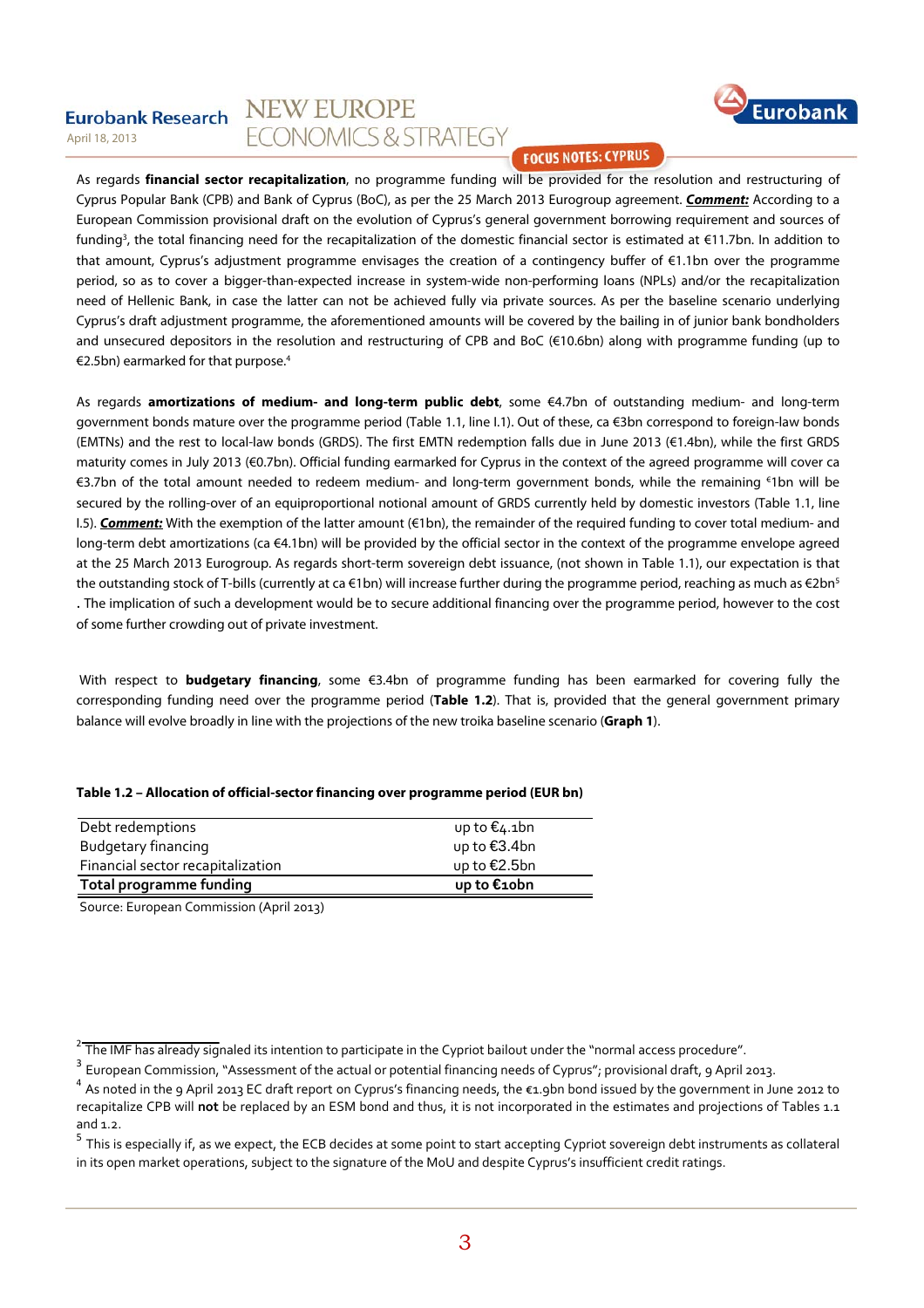#### **NEW EUROPE Eurobank Research** ECONOMICS & STRATEGY April 18, 2013



**FOCUS NOTES: CYPRUS** 

As regards **financial sector recapitalization**, no programme funding will be provided for the resolution and restructuring of Cyprus Popular Bank (CPB) and Bank of Cyprus (BoC), as per the 25 March 2013 Eurogroup agreement. **Comment:** According to a European Commission provisional draft on the evolution of Cyprus's general government borrowing requirement and sources of funding3 , the total financing need for the recapitalization of the domestic financial sector is estimated at €11.7bn. In addition to that amount, Cyprus's adjustment programme envisages the creation of a contingency buffer of €1.1bn over the programme period, so as to cover a bigger-than-expected increase in system-wide non-performing loans (NPLs) and/or the recapitalization need of Hellenic Bank, in case the latter can not be achieved fully via private sources. As per the baseline scenario underlying Cyprus's draft adjustment programme, the aforementioned amounts will be covered by the bailing in of junior bank bondholders and unsecured depositors in the resolution and restructuring of CPB and BoC (€10.6bn) along with programme funding (up to €2.5bn) earmarked for that purpose.<sup>4</sup>

As regards **amortizations of medium- and long-term public debt**, some €4.7bn of outstanding medium- and long-term government bonds mature over the programme period (Table 1.1, line I.1). Out of these, ca €3bn correspond to foreign-law bonds (EMTNs) and the rest to local-law bonds (GRDS). The first EMTN redemption falls due in June 2013 (€1.4bn), while the first GRDS maturity comes in July 2013 (€0.7bn). Official funding earmarked for Cyprus in the context of the agreed programme will cover ca €3.7bn of the total amount needed to redeem medium- and long-term government bonds, while the remaining € 1bn will be secured by the rolling-over of an equiproportional notional amount of GRDS currently held by domestic investors (Table 1.1, line I.5). **Comment:** With the exemption of the latter amount (€1bn), the remainder of the required funding to cover total medium- and long-term debt amortizations (ca €4.1bn) will be provided by the official sector in the context of the programme envelope agreed at the 25 March 2013 Eurogroup. As regards short-term sovereign debt issuance, (not shown in Table 1.1), our expectation is that the outstanding stock of T-bills (currently at ca €1bn) will increase further during the programme period, reaching as much as €2bn<sup>5</sup> . The implication of such a development would be to secure additional financing over the programme period, however to the cost of some further crowding out of private investment.

 With respect to **budgetary financing**, some €3.4bn of programme funding has been earmarked for covering fully the corresponding funding need over the programme period (**Table 1.2**). That is, provided that the general government primary balance will evolve broadly in line with the projections of the new troika baseline scenario (**Graph 1**).

| Debt redemptions                  | up to $€$ 4.1bn |
|-----------------------------------|-----------------|
| Budgetary financing               | up to €3.4bn    |
| Financial sector recapitalization | up to €2.5bn    |

**Total programme funding up to €10bn**

| Table 1.2 – Allocation of official-sector financing over programme period (EUR bn) |  |  |  |  |  |  |
|------------------------------------------------------------------------------------|--|--|--|--|--|--|
|------------------------------------------------------------------------------------|--|--|--|--|--|--|

Source: European Commission (April 2013)

<sup>3</sup> European Commission, "Assessment of the actual or potential financing needs of Cyprus"; provisional draft, 9 April 2013.

 $2$  The IMF has already signaled its intention to participate in the Cypriot bailout under the "normal access procedure".

 $^4$  As noted in the 9 April 2013 EC draft report on Cyprus's financing needs, the €1.9bn bond issued by the government in June 2012 to recapitalize CPB will **not** be replaced by an ESM bond and thus, it is not incorporated in the estimates and projections of Tables 1.1 and 1.2.

 $<sup>5</sup>$  This is especially if, as we expect, the ECB decides at some point to start accepting Cypriot sovereign debt instruments as collateral</sup> in its open market operations, subject to the signature of the MoU and despite Cyprus's insufficient credit ratings.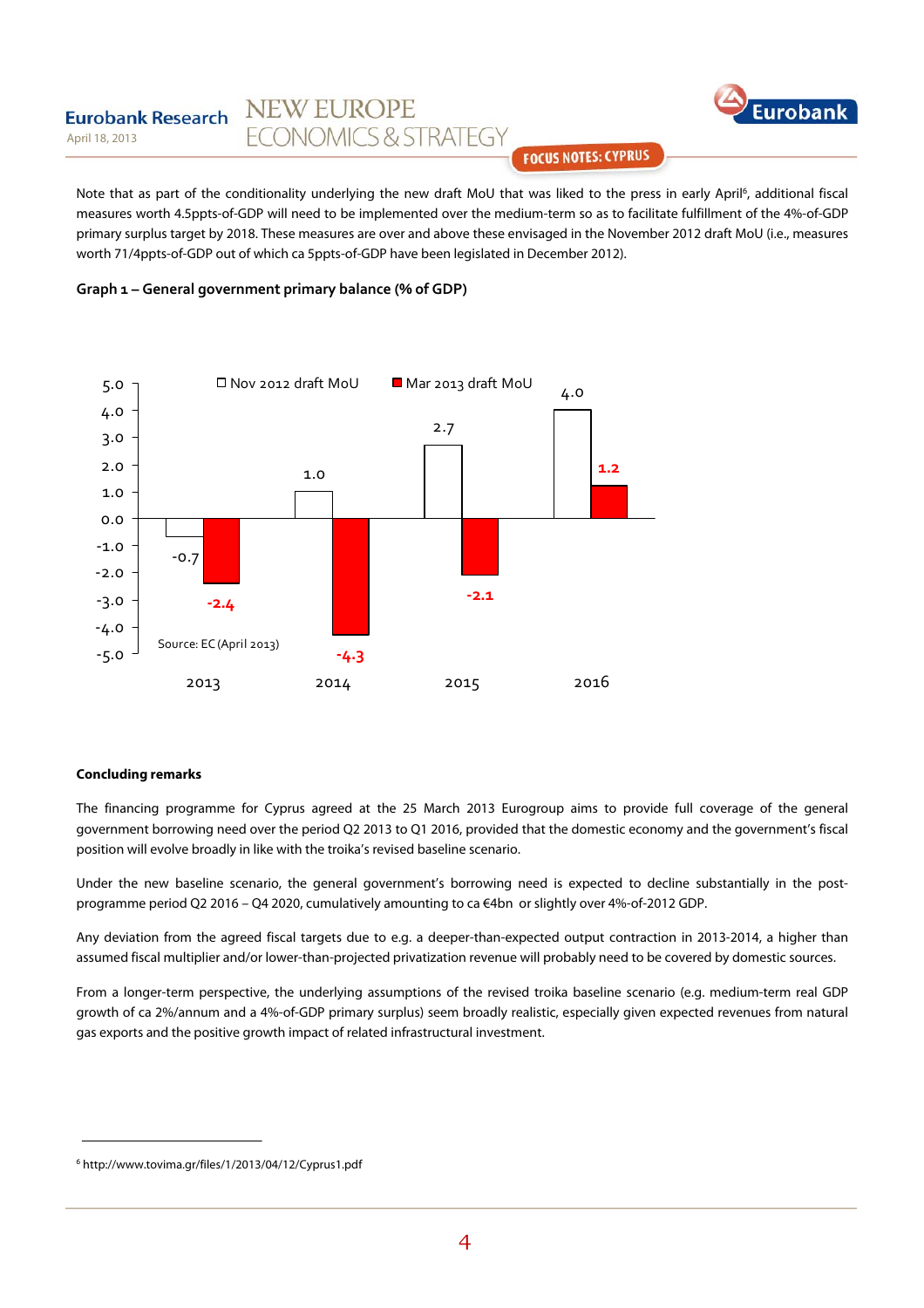#### **NEW EUROPE Eurobank Research ECONOMICS & STRATEGY** April 18, 2013



**FOCUS NOTES: CYPRUS** 

Note that as part of the conditionality underlying the new draft MoU that was liked to the press in early April<sup>6</sup>, additional fiscal measures worth 4.5ppts-of-GDP will need to be implemented over the medium-term so as to facilitate fulfillment of the 4%-of-GDP primary surplus target by 2018. These measures are over and above these envisaged in the November 2012 draft MoU (i.e., measures worth 71/4ppts-of-GDP out of which ca 5ppts-of-GDP have been legislated in December 2012).





#### **Concluding remarks**

The financing programme for Cyprus agreed at the 25 March 2013 Eurogroup aims to provide full coverage of the general government borrowing need over the period Q2 2013 to Q1 2016, provided that the domestic economy and the government's fiscal position will evolve broadly in like with the troika's revised baseline scenario.

Under the new baseline scenario, the general government's borrowing need is expected to decline substantially in the postprogramme period Q2 2016 – Q4 2020, cumulatively amounting to ca €4bn or slightly over 4%-of-2012 GDP.

Any deviation from the agreed fiscal targets due to e.g. a deeper-than-expected output contraction in 2013-2014, a higher than assumed fiscal multiplier and/or lower-than-projected privatization revenue will probably need to be covered by domestic sources.

From a longer-term perspective, the underlying assumptions of the revised troika baseline scenario (e.g. medium-term real GDP growth of ca 2%/annum and a 4%-of-GDP primary surplus) seem broadly realistic, especially given expected revenues from natural gas exports and the positive growth impact of related infrastructural investment.

<sup>6</sup> http://www.tovima.gr/files/1/2013/04/12/Cyprus1.pdf